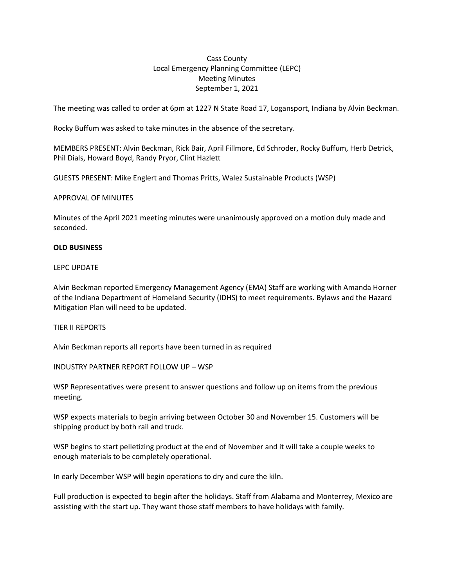# Cass County Local Emergency Planning Committee (LEPC) Meeting Minutes September 1, 2021

The meeting was called to order at 6pm at 1227 N State Road 17, Logansport, Indiana by Alvin Beckman.

Rocky Buffum was asked to take minutes in the absence of the secretary.

MEMBERS PRESENT: Alvin Beckman, Rick Bair, April Fillmore, Ed Schroder, Rocky Buffum, Herb Detrick, Phil Dials, Howard Boyd, Randy Pryor, Clint Hazlett

GUESTS PRESENT: Mike Englert and Thomas Pritts, Walez Sustainable Products (WSP)

## APPROVAL OF MINUTES

Minutes of the April 2021 meeting minutes were unanimously approved on a motion duly made and seconded.

## **OLD BUSINESS**

## LEPC UPDATE

Alvin Beckman reported Emergency Management Agency (EMA) Staff are working with Amanda Horner of the Indiana Department of Homeland Security (IDHS) to meet requirements. Bylaws and the Hazard Mitigation Plan will need to be updated.

# TIER II REPORTS

Alvin Beckman reports all reports have been turned in as required

INDUSTRY PARTNER REPORT FOLLOW UP – WSP

WSP Representatives were present to answer questions and follow up on items from the previous meeting.

WSP expects materials to begin arriving between October 30 and November 15. Customers will be shipping product by both rail and truck.

WSP begins to start pelletizing product at the end of November and it will take a couple weeks to enough materials to be completely operational.

In early December WSP will begin operations to dry and cure the kiln.

Full production is expected to begin after the holidays. Staff from Alabama and Monterrey, Mexico are assisting with the start up. They want those staff members to have holidays with family.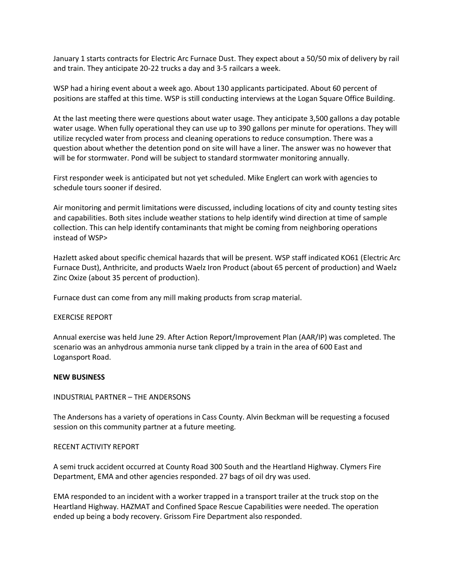January 1 starts contracts for Electric Arc Furnace Dust. They expect about a 50/50 mix of delivery by rail and train. They anticipate 20-22 trucks a day and 3-5 railcars a week.

WSP had a hiring event about a week ago. About 130 applicants participated. About 60 percent of positions are staffed at this time. WSP is still conducting interviews at the Logan Square Office Building.

At the last meeting there were questions about water usage. They anticipate 3,500 gallons a day potable water usage. When fully operational they can use up to 390 gallons per minute for operations. They will utilize recycled water from process and cleaning operations to reduce consumption. There was a question about whether the detention pond on site will have a liner. The answer was no however that will be for stormwater. Pond will be subject to standard stormwater monitoring annually.

First responder week is anticipated but not yet scheduled. Mike Englert can work with agencies to schedule tours sooner if desired.

Air monitoring and permit limitations were discussed, including locations of city and county testing sites and capabilities. Both sites include weather stations to help identify wind direction at time of sample collection. This can help identify contaminants that might be coming from neighboring operations instead of WSP>

Hazlett asked about specific chemical hazards that will be present. WSP staff indicated KO61 (Electric Arc Furnace Dust), Anthricite, and products Waelz Iron Product (about 65 percent of production) and Waelz Zinc Oxize (about 35 percent of production).

Furnace dust can come from any mill making products from scrap material.

#### EXERCISE REPORT

Annual exercise was held June 29. After Action Report/Improvement Plan (AAR/IP) was completed. The scenario was an anhydrous ammonia nurse tank clipped by a train in the area of 600 East and Logansport Road.

#### **NEW BUSINESS**

## INDUSTRIAL PARTNER – THE ANDERSONS

The Andersons has a variety of operations in Cass County. Alvin Beckman will be requesting a focused session on this community partner at a future meeting.

#### RECENT ACTIVITY REPORT

A semi truck accident occurred at County Road 300 South and the Heartland Highway. Clymers Fire Department, EMA and other agencies responded. 27 bags of oil dry was used.

EMA responded to an incident with a worker trapped in a transport trailer at the truck stop on the Heartland Highway. HAZMAT and Confined Space Rescue Capabilities were needed. The operation ended up being a body recovery. Grissom Fire Department also responded.